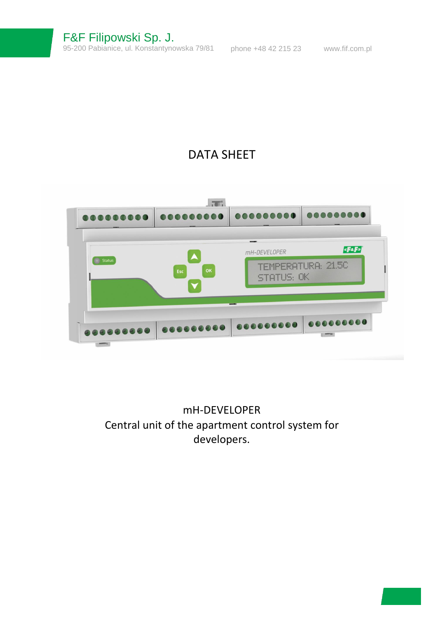# DATA SHEET

| <b>Status</b> | OK<br>Esc                              | mH-DEVELOPER<br>STATUS: OK | <b>«FaF»</b><br><b>TEMPERATURA: 21.5C</b> |
|---------------|----------------------------------------|----------------------------|-------------------------------------------|
|               | 000000000 000000000 000000000 00000000 |                            |                                           |

mH-DEVELOPER Central unit of the apartment control system for developers.

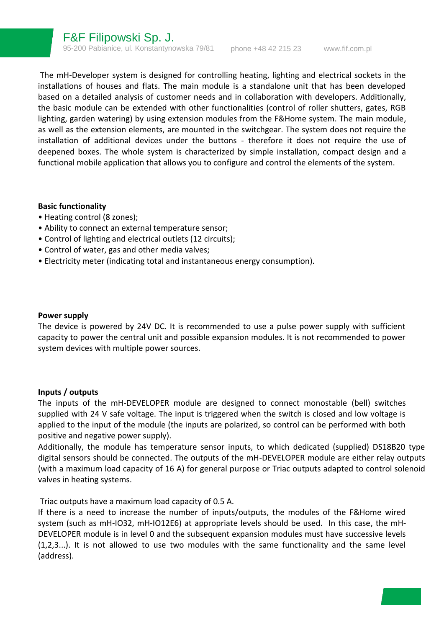The mH-Developer system is designed for controlling heating, lighting and electrical sockets in the installations of houses and flats. The main module is a standalone unit that has been developed based on a detailed analysis of customer needs and in collaboration with developers. Additionally, the basic module can be extended with other functionalities (control of roller shutters, gates, RGB lighting, garden watering) by using extension modules from the F&Home system. The main module, as well as the extension elements, are mounted in the switchgear. The system does not require the installation of additional devices under the buttons - therefore it does not require the use of deepened boxes. The whole system is characterized by simple installation, compact design and a functional mobile application that allows you to configure and control the elements of the system.

### **Basic functionality**

- Heating control (8 zones);
- Ability to connect an external temperature sensor;
- Control of lighting and electrical outlets (12 circuits);
- Control of water, gas and other media valves;
- Electricity meter (indicating total and instantaneous energy consumption).

#### **Power supply**

The device is powered by 24V DC. It is recommended to use a pulse power supply with sufficient capacity to power the central unit and possible expansion modules. It is not recommended to power system devices with multiple power sources.

#### **Inputs / outputs**

The inputs of the mH-DEVELOPER module are designed to connect monostable (bell) switches supplied with 24 V safe voltage. The input is triggered when the switch is closed and low voltage is applied to the input of the module (the inputs are polarized, so control can be performed with both positive and negative power supply).

Additionally, the module has temperature sensor inputs, to which dedicated (supplied) DS18B20 type digital sensors should be connected. The outputs of the mH-DEVELOPER module are either relay outputs (with a maximum load capacity of 16 A) for general purpose or Triac outputs adapted to control solenoid valves in heating systems.

Triac outputs have a maximum load capacity of 0.5 A.

If there is a need to increase the number of inputs/outputs, the modules of the F&Home wired system (such as mH-IO32, mH-IO12E6) at appropriate levels should be used. In this case, the mH-DEVELOPER module is in level 0 and the subsequent expansion modules must have successive levels (1,2,3...). It is not allowed to use two modules with the same functionality and the same level (address).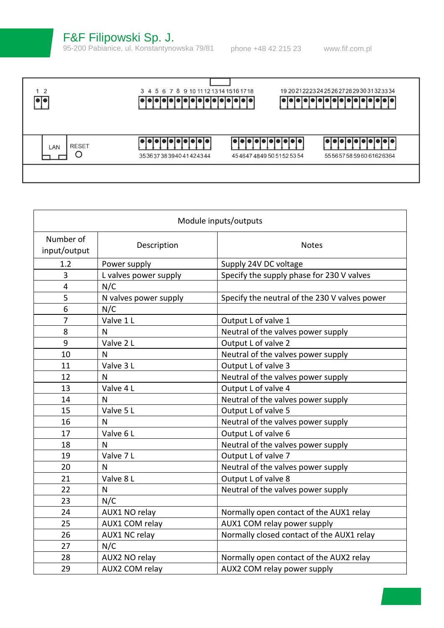F&F Filipowski Sp. J.

95-200 Pabianice, ul. Konstantynowska 79/81 phone +48 42 215 23 [www.fif.com.pl](http://www.fif.com.pl/)

| $1\quad2$                | 3 4 5 6 7 8 9 10 11 12 13 14 15 16 17 18<br>إماما فإماما فأماما فاماما |                      | 19 20 21 22 23 24 25 26 27 28 29 30 31 32 33 34<br>ialalalalalalalalalalal |
|--------------------------|------------------------------------------------------------------------|----------------------|----------------------------------------------------------------------------|
| <b>RESET</b><br>LAN<br>C | فافافاقاه<br>35363738394041424344                                      | 45464748495051525354 | 55565758596061626364                                                       |

| Module inputs/outputs     |                       |                                               |
|---------------------------|-----------------------|-----------------------------------------------|
| Number of<br>input/output | Description           | <b>Notes</b>                                  |
| 1.2                       | Power supply          | Supply 24V DC voltage                         |
| 3                         | L valves power supply | Specify the supply phase for 230 V valves     |
| 4                         | N/C                   |                                               |
| 5                         | N valves power supply | Specify the neutral of the 230 V valves power |
| 6                         | N/C                   |                                               |
| 7                         | Valve 1 L             | Output L of valve 1                           |
| 8                         | N                     | Neutral of the valves power supply            |
| 9                         | Valve 2 L             | Output L of valve 2                           |
| 10                        | N                     | Neutral of the valves power supply            |
| 11                        | Valve 3L              | Output L of valve 3                           |
| 12                        | $\mathsf{N}$          | Neutral of the valves power supply            |
| 13                        | Valve 4 L             | Output L of valve 4                           |
| 14                        | $\mathsf{N}$          | Neutral of the valves power supply            |
| 15                        | Valve 5 L             | Output L of valve 5                           |
| 16                        | N                     | Neutral of the valves power supply            |
| 17                        | Valve 6L              | Output L of valve 6                           |
| 18                        | N                     | Neutral of the valves power supply            |
| 19                        | Valve 7 L             | Output L of valve 7                           |
| 20                        | $\mathsf{N}$          | Neutral of the valves power supply            |
| 21                        | Valve 8L              | Output L of valve 8                           |
| 22                        | $\mathsf{N}$          | Neutral of the valves power supply            |
| 23                        | N/C                   |                                               |
| 24                        | AUX1 NO relay         | Normally open contact of the AUX1 relay       |
| 25                        | AUX1 COM relay        | AUX1 COM relay power supply                   |
| 26                        | AUX1 NC relay         | Normally closed contact of the AUX1 relay     |
| 27                        | N/C                   |                                               |
| 28                        | AUX2 NO relay         | Normally open contact of the AUX2 relay       |
| 29                        | AUX2 COM relay        | AUX2 COM relay power supply                   |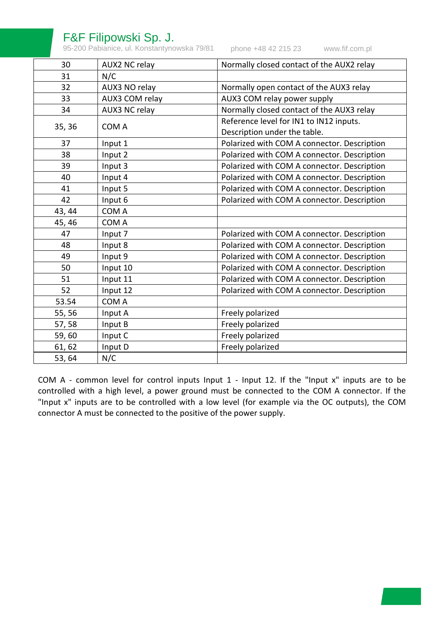## F&F Filipowski Sp. J.

95-200 Pabianice, ul. Konstantynowska 79/81 phone +48 42 215 23

[www.fif.com.pl](http://www.fif.com.pl/)

| 30     | AUX2 NC relay  | Normally closed contact of the AUX2 relay   |
|--------|----------------|---------------------------------------------|
| 31     | N/C            |                                             |
| 32     | AUX3 NO relay  | Normally open contact of the AUX3 relay     |
| 33     | AUX3 COM relay | AUX3 COM relay power supply                 |
| 34     | AUX3 NC relay  | Normally closed contact of the AUX3 relay   |
| 35, 36 | COM A          | Reference level for IN1 to IN12 inputs.     |
|        |                | Description under the table.                |
| 37     | Input 1        | Polarized with COM A connector. Description |
| 38     | Input 2        | Polarized with COM A connector. Description |
| 39     | Input 3        | Polarized with COM A connector. Description |
| 40     | Input 4        | Polarized with COM A connector. Description |
| 41     | Input 5        | Polarized with COM A connector. Description |
| 42     | Input 6        | Polarized with COM A connector. Description |
| 43, 44 | COM A          |                                             |
| 45, 46 | COM A          |                                             |
| 47     | Input 7        | Polarized with COM A connector. Description |
| 48     | Input 8        | Polarized with COM A connector. Description |
| 49     | Input 9        | Polarized with COM A connector. Description |
| 50     | Input 10       | Polarized with COM A connector. Description |
| 51     | Input 11       | Polarized with COM A connector. Description |
| 52     | Input 12       | Polarized with COM A connector. Description |
| 53.54  | COM A          |                                             |
| 55, 56 | Input A        | Freely polarized                            |
| 57,58  | Input B        | Freely polarized                            |
| 59,60  | Input C        | Freely polarized                            |
| 61, 62 | Input D        | Freely polarized                            |
| 53, 64 | N/C            |                                             |

COM A - common level for control inputs Input 1 - Input 12. If the "Input x" inputs are to be controlled with a high level, a power ground must be connected to the COM A connector. If the "Input x" inputs are to be controlled with a low level (for example via the OC outputs), the COM connector A must be connected to the positive of the power supply.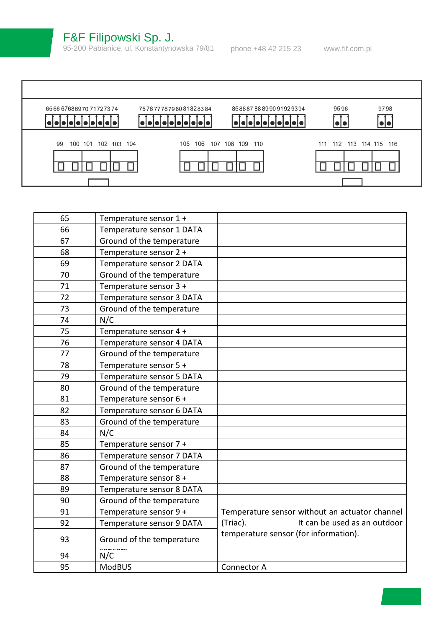

| 95 | <b>ModBUS</b>             | Connector A                                    |
|----|---------------------------|------------------------------------------------|
| 94 | N/C                       |                                                |
| 93 | Ground of the temperature | temperature sensor (for information).          |
| 92 | Temperature sensor 9 DATA | (Triac).<br>It can be used as an outdoor       |
| 91 | Temperature sensor 9 +    | Temperature sensor without an actuator channel |
| 90 | Ground of the temperature |                                                |
| 89 | Temperature sensor 8 DATA |                                                |
| 88 | Temperature sensor 8 +    |                                                |
| 87 | Ground of the temperature |                                                |
| 86 | Temperature sensor 7 DATA |                                                |
| 85 | Temperature sensor 7 +    |                                                |
| 84 | N/C                       |                                                |
| 83 | Ground of the temperature |                                                |
| 82 | Temperature sensor 6 DATA |                                                |
| 81 | Temperature sensor 6 +    |                                                |
| 80 | Ground of the temperature |                                                |
| 79 | Temperature sensor 5 DATA |                                                |
| 78 | Temperature sensor 5 +    |                                                |
| 77 | Ground of the temperature |                                                |
| 76 | Temperature sensor 4 DATA |                                                |
| 75 | Temperature sensor 4 +    |                                                |
| 74 | N/C                       |                                                |
| 73 | Ground of the temperature |                                                |
| 72 | Temperature sensor 3 DATA |                                                |
| 71 | Temperature sensor 3 +    |                                                |
| 70 | Ground of the temperature |                                                |
| 69 | Temperature sensor 2 DATA |                                                |
| 68 | Temperature sensor 2 +    |                                                |
| 67 | Ground of the temperature |                                                |
| 66 | Temperature sensor 1 DATA |                                                |
| 65 | Temperature sensor 1 +    |                                                |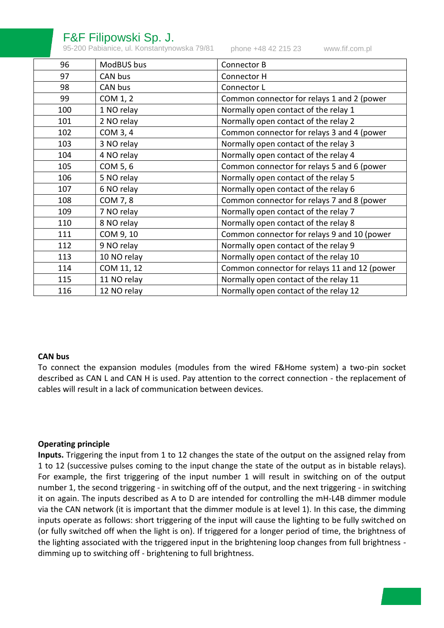## F&F Filipowski Sp. J.

95-200 Pabianice, ul. Konstantynowska 79/81 phone +48 42 215 23

[www.fif.com.pl](http://www.fif.com.pl/)

| 96  | ModBUS bus  | Connector B                                  |
|-----|-------------|----------------------------------------------|
| 97  | CAN bus     | Connector H                                  |
| 98  | CAN bus     | Connector L                                  |
| 99  | COM 1, 2    | Common connector for relays 1 and 2 (power   |
| 100 | 1 NO relay  | Normally open contact of the relay 1         |
| 101 | 2 NO relay  | Normally open contact of the relay 2         |
| 102 | COM 3, 4    | Common connector for relays 3 and 4 (power   |
| 103 | 3 NO relay  | Normally open contact of the relay 3         |
| 104 | 4 NO relay  | Normally open contact of the relay 4         |
| 105 | COM 5, 6    | Common connector for relays 5 and 6 (power   |
| 106 | 5 NO relay  | Normally open contact of the relay 5         |
| 107 | 6 NO relay  | Normally open contact of the relay 6         |
| 108 | COM 7, 8    | Common connector for relays 7 and 8 (power   |
| 109 | 7 NO relay  | Normally open contact of the relay 7         |
| 110 | 8 NO relay  | Normally open contact of the relay 8         |
| 111 | COM 9, 10   | Common connector for relays 9 and 10 (power  |
| 112 | 9 NO relay  | Normally open contact of the relay 9         |
| 113 | 10 NO relay | Normally open contact of the relay 10        |
| 114 | COM 11, 12  | Common connector for relays 11 and 12 (power |
| 115 | 11 NO relay | Normally open contact of the relay 11        |
| 116 | 12 NO relay | Normally open contact of the relay 12        |

#### **CAN bus**

To connect the expansion modules (modules from the wired F&Home system) a two-pin socket described as CAN L and CAN H is used. Pay attention to the correct connection - the replacement of cables will result in a lack of communication between devices.

### **Operating principle**

**Inputs.** Triggering the input from 1 to 12 changes the state of the output on the assigned relay from 1 to 12 (successive pulses coming to the input change the state of the output as in bistable relays). For example, the first triggering of the input number 1 will result in switching on of the output number 1, the second triggering - in switching off of the output, and the next triggering - in switching it on again. The inputs described as A to D are intended for controlling the mH-L4B dimmer module via the CAN network (it is important that the dimmer module is at level 1). In this case, the dimming inputs operate as follows: short triggering of the input will cause the lighting to be fully switched on (or fully switched off when the light is on). If triggered for a longer period of time, the brightness of the lighting associated with the triggered input in the brightening loop changes from full brightness dimming up to switching off - brightening to full brightness.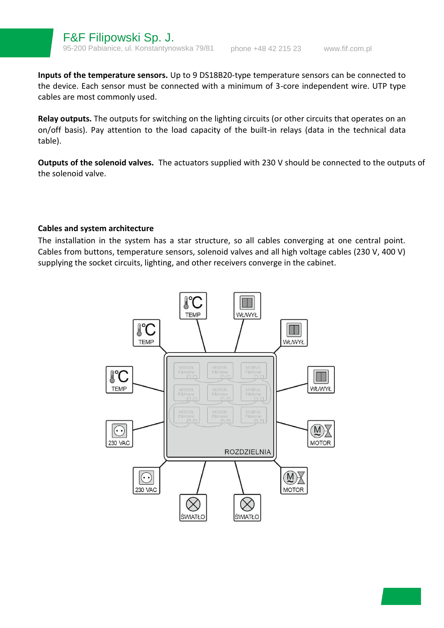**Inputs of the temperature sensors.** Up to 9 DS18B20-type temperature sensors can be connected to the device. Each sensor must be connected with a minimum of 3-core independent wire. UTP type cables are most commonly used.

**Relay outputs.** The outputs for switching on the lighting circuits (or other circuits that operates on an on/off basis). Pay attention to the load capacity of the built-in relays (data in the technical data table).

**Outputs of the solenoid valves.** The actuators supplied with 230 V should be connected to the outputs of the solenoid valve.

#### **Cables and system architecture**

The installation in the system has a star structure, so all cables converging at one central point. Cables from buttons, temperature sensors, solenoid valves and all high voltage cables (230 V, 400 V) supplying the socket circuits, lighting, and other receivers converge in the cabinet.

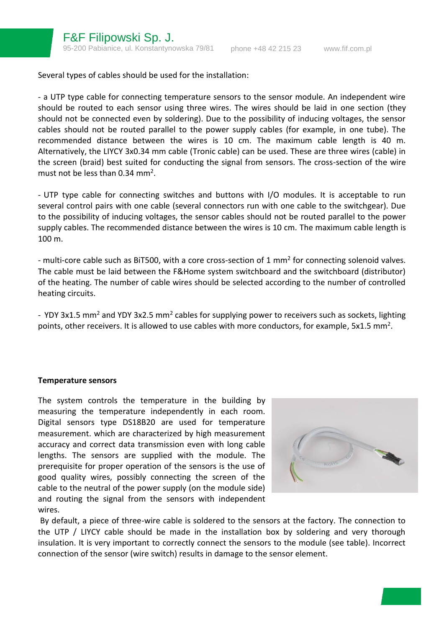Several types of cables should be used for the installation:

- a UTP type cable for connecting temperature sensors to the sensor module. An independent wire should be routed to each sensor using three wires. The wires should be laid in one section (they should not be connected even by soldering). Due to the possibility of inducing voltages, the sensor cables should not be routed parallel to the power supply cables (for example, in one tube). The recommended distance between the wires is 10 cm. The maximum cable length is 40 m. Alternatively, the LIYCY 3x0.34 mm cable (Tronic cable) can be used. These are three wires (cable) in the screen (braid) best suited for conducting the signal from sensors. The cross-section of the wire must not be less than  $0.34$  mm<sup>2</sup>.

- UTP type cable for connecting switches and buttons with I/O modules. It is acceptable to run several control pairs with one cable (several connectors run with one cable to the switchgear). Due to the possibility of inducing voltages, the sensor cables should not be routed parallel to the power supply cables. The recommended distance between the wires is 10 cm. The maximum cable length is 100 m.

- multi-core cable such as BiT500, with a core cross-section of 1 mm<sup>2</sup> for connecting solenoid valves. The cable must be laid between the F&Home system switchboard and the switchboard (distributor) of the heating. The number of cable wires should be selected according to the number of controlled heating circuits.

- YDY 3x1.5 mm<sup>2</sup> and YDY 3x2.5 mm<sup>2</sup> cables for supplying power to receivers such as sockets, lighting points, other receivers. It is allowed to use cables with more conductors, for example, 5x1.5 mm<sup>2</sup>.

#### **Temperature sensors**

The system controls the temperature in the building by measuring the temperature independently in each room. Digital sensors type DS18B20 are used for temperature measurement. which are characterized by high measurement accuracy and correct data transmission even with long cable lengths. The sensors are supplied with the module. The prerequisite for proper operation of the sensors is the use of good quality wires, possibly connecting the screen of the cable to the neutral of the power supply (on the module side) and routing the signal from the sensors with independent wires.



By default, a piece of three-wire cable is soldered to the sensors at the factory. The connection to the UTP / LIYCY cable should be made in the installation box by soldering and very thorough insulation. It is very important to correctly connect the sensors to the module (see table). Incorrect connection of the sensor (wire switch) results in damage to the sensor element.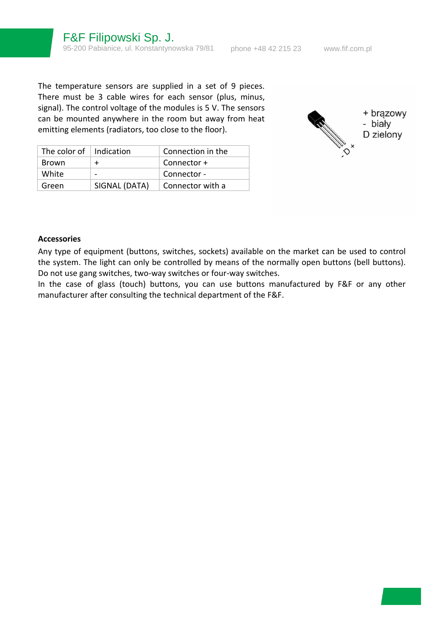The temperature sensors are supplied in a set of 9 pieces. There must be 3 cable wires for each sensor (plus, minus, signal). The control voltage of the modules is 5 V. The sensors can be mounted anywhere in the room but away from heat emitting elements (radiators, too close to the floor).

| The color of $\parallel$ Indication |               | Connection in the |
|-------------------------------------|---------------|-------------------|
| <b>Brown</b>                        |               | Connector +       |
| White                               |               | Connector -       |
| Green                               | SIGNAL (DATA) | Connector with a  |



#### **Accessories**

Any type of equipment (buttons, switches, sockets) available on the market can be used to control the system. The light can only be controlled by means of the normally open buttons (bell buttons). Do not use gang switches, two-way switches or four-way switches.

In the case of glass (touch) buttons, you can use buttons manufactured by F&F or any other manufacturer after consulting the technical department of the F&F.